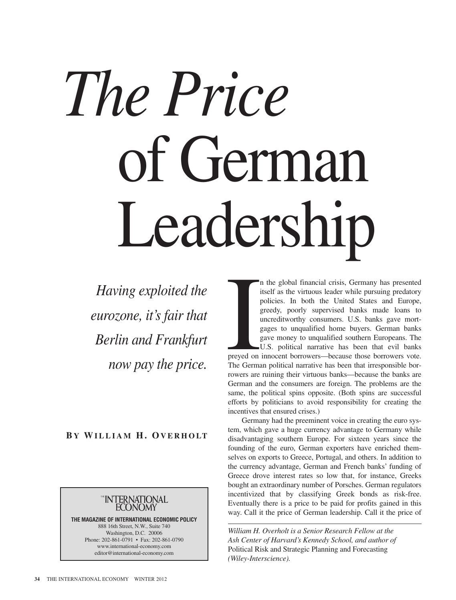## *The Price* of German Leadership

*Having exploited the eurozone, it's fair that Berlin and Frankfurt now pay the price.*

## **B Y WI L L I A M H. OV E R H O LT**



**THE MAGAZINE OF INTERNATIONAL ECONOMIC POLICY** 888 16th Street, N.W., Suite 740 Washington, D.C. 20006 Phone: 202-861-0791 • Fax: 202-861-0790 www.international-economy.com editor@international-economy.com

I n the global financial crisis, Germany has presented itself as the virtuous leader while pursuing predatory policies. In both the United States and Europe, greedy, poorly supervised banks made loans to uncreditworthy consumers. U.S. banks gave mortgages to unqualified home buyers. German banks gave money to unqualified southern Europeans. The U.S. political narrative has been that evil banks preyed on innocent borrowers—because those borrowers vote. The German political narrative has been that irresponsible borrowers are ruining their virtuous banks—because the banks are German and the consumers are foreign. The problems are the same, the political spins opposite. (Both spins are successful efforts by politicians to avoid responsibility for creating the incentives that ensured crises.)

Germany had the preeminent voice in creating the euro system, which gave a huge currency advantage to Germany while disadvantaging southern Europe. For sixteen years since the founding of the euro, German exporters have enriched themselves on exports to Greece, Portugal, and others. In addition to the currency advantage, German and French banks' funding of Greece drove interest rates so low that, for instance, Greeks bought an extraordinary number of Porsches. German regulators incentivized that by classifying Greek bonds as risk-free. Eventually there is a price to be paid for profits gained in this way. Call it the price of German leadership. Call it the price of

*William H. Overholt is a Senior Research Fellow at the Ash Center of Harvard's Kennedy School, and author of* Political Risk and Strategic Planning and Forecasting *(Wiley-Interscience).*